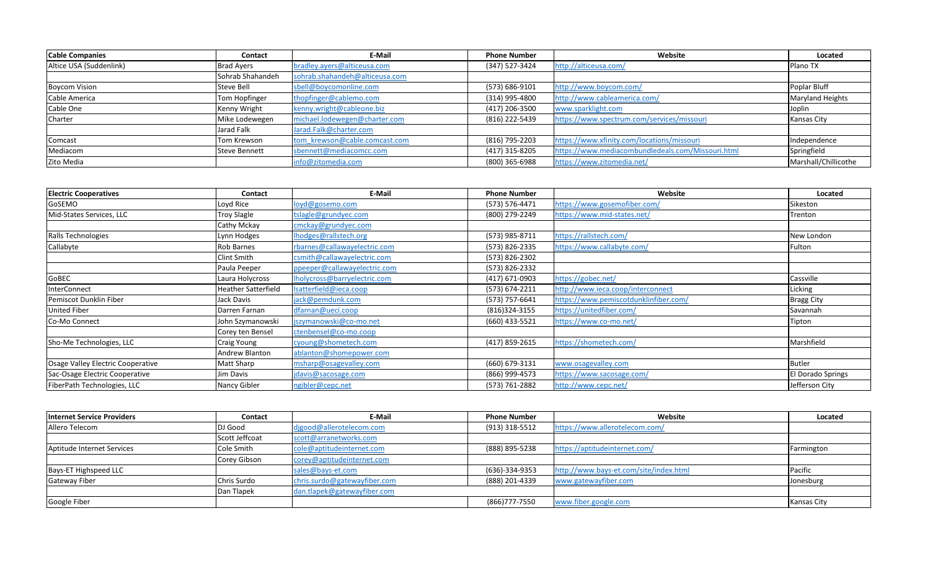| <b>Cable Companies</b>  | Contact           | E-Mail                         | <b>Phone Number</b> | Website                                           | Located                 |
|-------------------------|-------------------|--------------------------------|---------------------|---------------------------------------------------|-------------------------|
| Altice USA (Suddenlink) | <b>Brad Ayers</b> | bradley.ayers@alticeusa.com    | (347) 527-3424      | http://alticeusa.com/                             | <b>IPlano TX</b>        |
|                         | Sohrab Shahandeh  | sohrab.shahandeh@alticeusa.com |                     |                                                   |                         |
| <b>Boycom Vision</b>    | Steve Bell        | sbell@boycomonline.com         | (573) 686-9101      | http://www.boycom.com/                            | Poplar Bluff            |
| Cable America           | Tom Hopfinger     | thopfinger@cablemo.com         | (314) 995-4800      | http://www.cableamerica.com/                      | <b>Maryland Heights</b> |
| Cable One               | Kenny Wright      | kenny.wright@cableone.biz      | (417) 206-3500      | www.sparklight.com                                | Joplin                  |
| Charter                 | Mike Lodewegen    | michael.lodewegen@charter.com  | (816) 222-5439      | https://www.spectrum.com/services/missouri        | <b>Kansas City</b>      |
|                         | Jarad Falk        | Jarad.Falk@charter.com         |                     |                                                   |                         |
| Comcast                 | Tom Krewson       | tom krewson@cable.comcast.com  | (816) 795-2203      | https://www.xfinity.com/locations/missouri        | Independence            |
| Mediacom                | Steve Bennett     | sbennett@mediacomcc.com        | (417) 315-8205      | https://www.mediacombundledeals.com/Missouri.html | Springfield             |
| Zito Media              |                   | info@zitomedia.com             | (800) 365-6988      | https://www.zitomedia.net/                        | Marshall/Chillicothe    |

| <b>Electric Cooperatives</b>      | Contact                    | E-Mail                       | <b>Phone Number</b> | Website                               | Located           |
|-----------------------------------|----------------------------|------------------------------|---------------------|---------------------------------------|-------------------|
| GoSEMO                            | Loyd Rice                  | loyd@gosemo.com              | (573) 576-4471      | https://www.gosemofiber.com/          | Sikeston          |
| Mid-States Services, LLC          | <b>Troy Slagle</b>         | tslagle@grundyec.com         | (800) 279-2249      | https://www.mid-states.net/           | Trenton           |
|                                   | Cathy Mckay                | cmckay@grundyec.com          |                     |                                       |                   |
| Ralls Technologies                | Lynn Hodges                | Ihodges@rallstech.org        | (573) 985-8711      | https://rallstech.com/                | New London        |
| Callabyte                         | Rob Barnes                 | rbarnes@callawayelectric.com | (573) 826-2335      | https://www.callabyte.com/            | Fulton            |
|                                   | <b>Clint Smith</b>         | csmith@callawayelectric.com  | (573) 826-2302      |                                       |                   |
|                                   | Paula Peeper               | ppeeper@callawayelectric.com | (573) 826-2332      |                                       |                   |
| GoBEC                             | Laura Holycross            | Iholycross@barryelectric.com | $(417)$ 671-0903    | https://gobec.net/                    | Cassville         |
| InterConnect                      | <b>Heather Satterfield</b> | Isatterfield@ieca.coop       | (573) 674-2211      | http://www.ieca.coop/interconnect     | Licking           |
| Pemiscot Dunklin Fiber            | Jack Davis                 | jack@pemdunk.com             | (573) 757-6641      | https://www.pemiscotdunklinfiber.com/ | <b>Bragg City</b> |
| <b>United Fiber</b>               | Darren Farnan              | dfarnan@ueci.coop            | $(816)324 - 3155$   | https://unitedfiber.com/              | Savannah          |
| Co-Mo Connect                     | John Szymanowski           | jszymanowski@co-mo.net       | (660) 433-5521      | https://www.co-mo.net/                | Tipton            |
|                                   | Corey ten Bensel           | ctenbensel@co-mo.coop        |                     |                                       |                   |
| Sho-Me Technologies, LLC          | <b>Craig Young</b>         | cyoung@shometech.com         | (417) 859-2615      | https://shometech.com/                | Marshfield        |
|                                   | Andrew Blanton             | ablanton@shomepower.com      |                     |                                       |                   |
| Osage Valley Electric Cooperative | Matt Sharp                 | msharp@osagevalley.com       | (660) 679-3131      | www.osagevalley.com                   | <b>Butler</b>     |
| Sac-Osage Electric Cooperative    | Jim Davis                  | jdavis@sacosage.com          | (866) 999-4573      | https://www.sacosage.com/             | El Dorado Springs |
| FiberPath Technologies, LLC       | Nancy Gibler               | ngibler@cepc.net             | (573) 761-2882      | http://www.cepc.net/                  | Jefferson City    |

| <b>Internet Service Providers</b> | Contact        | E-Mail                       | <b>Phone Number</b> | Website                                | Located     |
|-----------------------------------|----------------|------------------------------|---------------------|----------------------------------------|-------------|
| Allero Telecom                    | DJ Good        | digood@allerotelecom.com     | (913) 318-5512      | https://www.allerotelecom.com/         |             |
|                                   | Scott Jeffcoat | scott@arranetworks.com       |                     |                                        |             |
| Aptitude Internet Services        | Cole Smith     | cole@aptitudeinternet.com    | (888) 895-5238      | https://aptitudeinternet.com/          | Farmington  |
|                                   | Corey Gibson   | corey@aptitudeinternet.com   |                     |                                        |             |
| Bays-ET Highspeed LLC             |                | sales@bays-et.com            | (636)-334-9353      | http://www.bays-et.com/site/index.html | Pacific     |
| <b>Gateway Fiber</b>              | Chris Surdo    | chris.surdo@gatewayfiber.com | (888) 201-4339      | www.gatewayfiber.com                   | Jonesburg   |
|                                   | Dan Tlapek     | dan.tlapek@gatewayfiber.com  |                     |                                        |             |
| Google Fiber                      |                |                              | (866)777-7550       | www.fiber.google.com                   | Kansas City |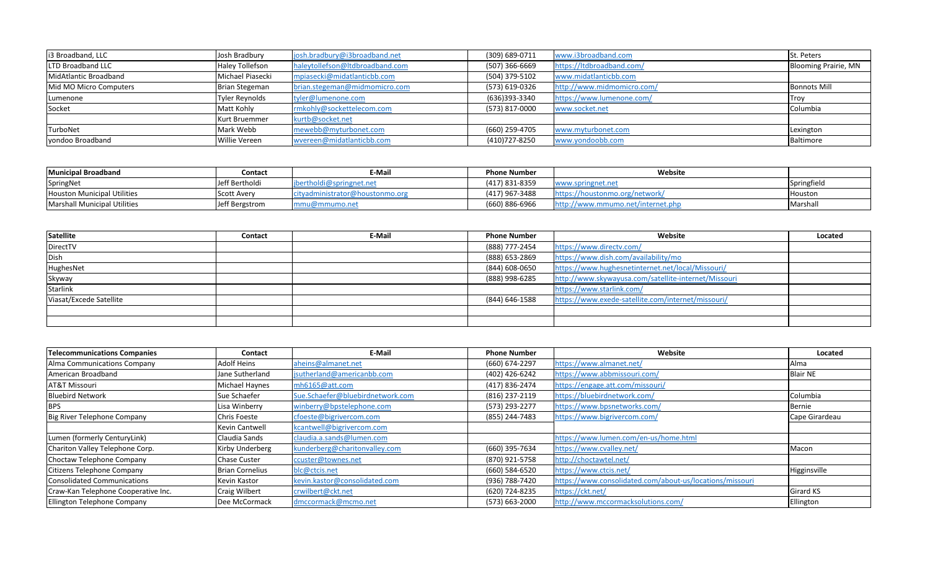| i3 Broadband, LLC      | Josh Bradbury          | josh.bradbury@i3broadband.net   | (309) 689-0711   | www.i3broadband.com        | St. Peters                  |
|------------------------|------------------------|---------------------------------|------------------|----------------------------|-----------------------------|
| LTD Broadband LLC      | <b>Haley Tollefson</b> | haleytollefson@ltdbroadband.com | $(507)$ 366-6669 | https://ltdbroadband.com/  | <b>Blooming Prairie, MN</b> |
| MidAtlantic Broadband  | Michael Piasecki       | mpiasecki@midatlanticbb.com     | (504) 379-5102   | www.midatlanticbb.com      |                             |
| Mid MO Micro Computers | Brian Stegeman         | brian.stegeman@midmomicro.com   | (573) 619-0326   | http://www.midmomicro.com/ | <b>Bonnots Mill</b>         |
| Lumenone               | Tyler Reynolds         | tyler@lumenone.com              | (636)393-3340    | https://www.lumenone.com/  | Trov                        |
| Socket                 | Matt Kohly             | rmkohly@sockettelecom.com       | (573) 817-0000   | www.socket.net             | Columbia                    |
|                        | <b>Kurt Bruemmer</b>   | kurtb@socket.net                |                  |                            |                             |
| TurboNet               | Mark Webb              | mewebb@myturbonet.com           | (660) 259-4705   | www.myturbonet.com         | Lexington                   |
| vondoo Broadband       | <b>Willie Vereen</b>   | wvereen@midatlanticbb.com       | (410)727-8250    | www.yondoobb.com           | Baltimore                   |

| <b>Municipal Broadband</b>   | Contact        | E-Mail                          | <b>Phone Number</b> | Website                           |                 |
|------------------------------|----------------|---------------------------------|---------------------|-----------------------------------|-----------------|
| SpringNet                    | Jeff Bertholdi | tholdi@springnet.ne             | (417) 831-8359      | www.springnet.net                 | Springfield     |
| Houston Municipal Utilities  | Scott Avery    | cityadministrator@houstonmo.org | (417) 967-3488      | https://houstonmo.org/network/    | <b>Houston</b>  |
| Marshall Municipal Utilities | Jeff Bergstrom | u@mmumo.ne*                     | (660) 886-6966      | http://www.mmumo.net/internet.php | <b>Marshall</b> |

| Satellite               | <b>Contact</b> | E-Mail | <b>Phone Number</b> | Website                                              | Located |
|-------------------------|----------------|--------|---------------------|------------------------------------------------------|---------|
| DirectTV                |                |        | (888) 777-2454      | https://www.directv.com/                             |         |
| Dish                    |                |        | (888) 653-2869      | https://www.dish.com/availability/mo                 |         |
| HughesNet               |                |        | (844) 608-0650      | https://www.hughesnetinternet.net/local/Missouri/    |         |
| Skyway                  |                |        | (888) 998-6285      | http://www.skywayusa.com/satellite-internet/Missouri |         |
| Starlink                |                |        |                     | https://www.starlink.com/                            |         |
| Viasat/Excede Satellite |                |        | (844) 646-1588      | https://www.exede-satellite.com/internet/missouri/   |         |
|                         |                |        |                     |                                                      |         |
|                         |                |        |                     |                                                      |         |

| <b>Telecommunications Companies</b> | Contact                | E-Mail                           | <b>Phone Number</b> | Website                                                  | Located          |
|-------------------------------------|------------------------|----------------------------------|---------------------|----------------------------------------------------------|------------------|
| Alma Communications Company         | <b>Adolf Heins</b>     | aheins@almanet.net               | (660) 674-2297      | https://www.almanet.net/                                 | Alma             |
| American Broadband                  | Jane Sutherland        | jsutherland@americanbb.com       | (402) 426-6242      | https://www.abbmissouri.com/                             | <b>Blair NE</b>  |
| <b>AT&amp;T Missouri</b>            | Michael Haynes         | mh6165@att.com                   | (417) 836-2474      | https://engage.att.com/missouri/                         |                  |
| <b>Bluebird Network</b>             | Sue Schaefer           | Sue.Schaefer@bluebirdnetwork.com | (816) 237-2119      | https://bluebirdnetwork.com/                             | Columbia         |
| <b>BPS</b>                          | Lisa Winberry          | winberry@bpstelephone.com        | (573) 293-2277      | https://www.bpsnetworks.com/                             | Bernie           |
| Big River Telephone Company         | <b>Chris Foeste</b>    | cfoeste@bigrivercom.com          | (855) 244-7483      | https://www.bigrivercom.com/                             | Cape Girardeau   |
|                                     | Kevin Cantwell         | kcantwell@bigrivercom.com        |                     |                                                          |                  |
| Lumen (formerly CenturyLink)        | Claudia Sands          | claudia.a.sands@lumen.com        |                     | https://www.lumen.com/en-us/home.html                    |                  |
| Chariton Valley Telephone Corp.     | Kirby Underberg        | kunderberg@charitonvalley.com    | (660) 395-7634      | https://www.cvalley.net/                                 | Macon            |
| Choctaw Telephone Company           | <b>Chase Custer</b>    | ccuster@townes.net               | (870) 921-5758      | http://choctawtel.net/                                   |                  |
| Citizens Telephone Company          | <b>Brian Cornelius</b> | blc@ctcis.net                    | (660) 584-6520      | https://www.ctcis.net/                                   | Higginsville     |
| Consolidated Communications         | Kevin Kastor           | kevin.kastor@consolidated.com    | (936) 788-7420      | https://www.consolidated.com/about-us/locations/missouri |                  |
| Craw-Kan Telephone Cooperative Inc. | <b>Craig Wilbert</b>   | crwilbert@ckt.net                | (620) 724-8235      | https://ckt.net/                                         | <b>Girard KS</b> |
| Ellington Telephone Company         | Dee McCormack          | dmccormack@mcmo.net              | $(573) 663 - 2000$  | http://www.mccormacksolutions.com/                       | Ellington        |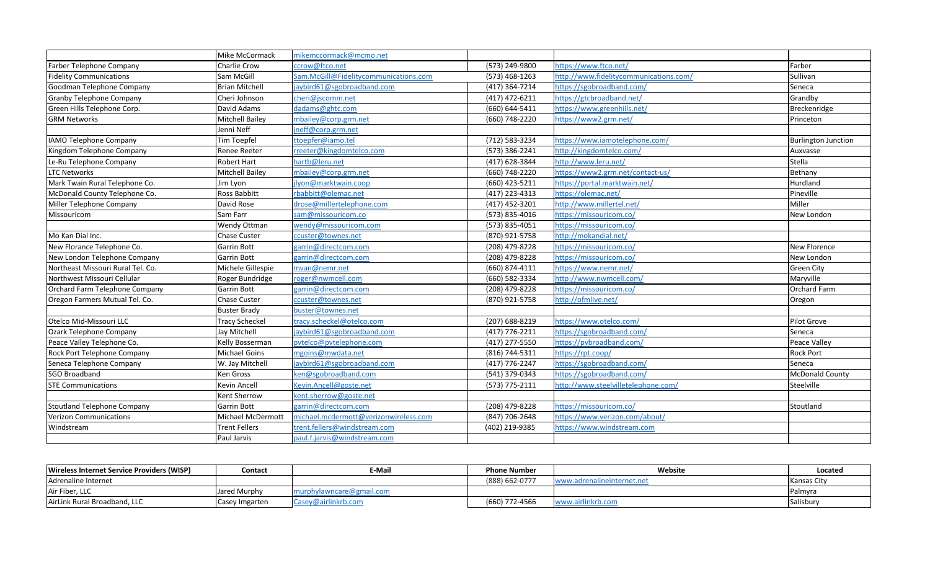|                                    | Mike McCormack         | mikemccormack@mcmo.net                |                    |                                        |                            |
|------------------------------------|------------------------|---------------------------------------|--------------------|----------------------------------------|----------------------------|
| Farber Telephone Company           | Charlie Crow           | ccrow@ftco.net                        | (573) 249-9800     | https://www.ftco.net/                  | Farber                     |
| <b>Fidelity Communications</b>     | Sam McGill             | Sam.McGill@Fidelitycommunications.com | $(573)$ 468-1263   | http://www.fidelitycommunications.com/ | Sullivan                   |
| Goodman Telephone Company          | <b>Brian Mitchell</b>  | jaybird61@sgobroadband.com            | (417) 364-7214     | https://sgobroadband.com/              | Seneca                     |
| <b>Granby Telephone Company</b>    | Cheri Johnson          | cheri@jscomm.net                      | $(417)$ 472-6211   | https://gtcbroadband.net/              | Grandby                    |
| Green Hills Telephone Corp.        | David Adams            | dadams@ghtc.com                       | (660) 644-5411     | https://www.greenhills.net/            | Breckenridge               |
| <b>GRM Networks</b>                | <b>Mitchell Bailey</b> | mbailey@corp.grm.net                  | (660) 748-2220     | https://www2.grm.net/                  | Princeton                  |
|                                    | Jenni Neff             | ineff@corp.grm.net                    |                    |                                        |                            |
| IAMO Telephone Company             | Tim Toepfel            | ttoepfer@iamo.tel                     | (712) 583-3234     | https://www.iamotelephone.com/         | <b>Burlington Junction</b> |
| Kingdom Telephone Company          | Renee Reeter           | rreeter@kingdomtelco.com              | (573) 386-2241     | http://kingdomtelco.com/               | Auxvasse                   |
| Le-Ru Telephone Company            | Robert Hart            | hartb@leru.net                        | (417) 628-3844     | http://www.leru.net/                   | Stella                     |
| <b>LTC Networks</b>                | <b>Mitchell Bailey</b> | mbailey@corp.grm.net                  | (660) 748-2220     | https://www2.grm.net/contact-us/       | Bethany                    |
| Mark Twain Rural Telephone Co.     | Jim Lyon               | jlyon@marktwain.coop                  | (660) 423-5211     | https://portal.marktwain.net/          | Hurdland                   |
| McDonald County Telephone Co.      | Ross Babbitt           | rbabbitt@olemac.net                   | (417) 223-4313     | https://olemac.net/                    | Pineville                  |
| Miller Telephone Company           | David Rose             | drose@millertelephone.com             | (417) 452-3201     | http://www.millertel.net/              | Miller                     |
| Missouricom                        | Sam Farr               | sam@missouricom.co                    | (573) 835-4016     | https://missouricom.co/                | New London                 |
|                                    | Wendy Ottman           | wendy@missouricom.com                 | (573) 835-4051     | https://missouricom.co/                |                            |
| Mo Kan Dial Inc.                   | Chase Custer           | ccuster@townes.net                    | (870) 921-5758     | http://mokandial.net/                  |                            |
| New Florance Telephone Co.         | Garrin Bott            | garrin@directcom.com                  | (208) 479-8228     | https://missouricom.co/                | <b>New Florence</b>        |
| New London Telephone Company       | <b>Garrin Bott</b>     | garrin@directcom.com                  | (208) 479-8228     | https://missouricom.co/                | New London                 |
| Northeast Missouri Rural Tel. Co.  | Michele Gillespie      | mvan@nemr.net                         | $(660)$ 874-4111   | https://www.nemr.net/                  | <b>Green City</b>          |
| Northwest Missouri Cellular        | Roger Bundridge        | roger@nwmcell.com                     | (660) 582-3334     | http://www.nwmcell.com/                | Maryville                  |
| Orchard Farm Telephone Company     | <b>Garrin Bott</b>     | garrin@directcom.com                  | (208) 479-8228     | https://missouricom.co/                | <b>Orchard Farm</b>        |
| Oregon Farmers Mutual Tel. Co.     | <b>Chase Custer</b>    | ccuster@townes.net                    | (870) 921-5758     | http://ofmlive.net/                    | Oregon                     |
|                                    | <b>Buster Brady</b>    | buster@townes.net                     |                    |                                        |                            |
| Otelco Mid-Missouri LLC            | <b>Tracy Scheckel</b>  | tracy.scheckel@otelco.com             | (207) 688-8219     | https://www.otelco.com/                | Pilot Grove                |
| Ozark Telephone Company            | Jay Mitchell           | jaybird61@sgobroadband.com            | $(417)$ 776-2211   | https://sgobroadband.com/              | Seneca                     |
| Peace Valley Telephone Co.         | Kelly Bosserman        | pvtelco@pvtelephone.com               | (417) 277-5550     | https://pvbroadband.com/               | Peace Valley               |
| Rock Port Telephone Company        | <b>Michael Goins</b>   | mgoins@mwdata.net                     | (816) 744-5311     | https://rpt.coop/                      | <b>Rock Port</b>           |
| Seneca Telephone Company           | W. Jay Mitchell        | jaybird61@sgobroadband.com            | (417) 776-2247     | https://sgobroadband.com/              | Seneca                     |
| <b>SGO Broadband</b>               | Ken Gross              | ken@sgobroadband.com                  | (541) 379-0343     | https://sgobroadband.com/              | <b>McDonald County</b>     |
| <b>STE Communications</b>          | Kevin Ancell           | Kevin.Ancell@goste.net                | $(573) 775 - 2111$ | http://www.steelvilletelephone.com/    | Steelville                 |
|                                    | Kent Sherrow           | kent.sherrow@goste.net                |                    |                                        |                            |
| <b>Stoutland Telephone Company</b> | Garrin Bott            | garrin@directcom.com                  | (208) 479-8228     | https://missouricom.co/                | Stoutland                  |
| Verizon Communications             | Michael McDermott      | michael.mcdermott@verizonwireless.com | (847) 706-2648     | https://www.verizon.com/about/         |                            |
| Windstream                         | <b>Trent Fellers</b>   | trent.fellers@windstream.com          | (402) 219-9385     | https://www.windstream.com             |                            |
|                                    | Paul Jarvis            | paul.f.jarvis@windstream.com          |                    |                                        |                            |
|                                    |                        |                                       |                    |                                        |                            |

| Wireless Internet Service Providers (WISP) | <b>Contact</b> | E-Mail               | <b>Phone Number</b> | Website                    | Located            |
|--------------------------------------------|----------------|----------------------|---------------------|----------------------------|--------------------|
| Adrenaline Internet                        |                |                      | (888) 662-0777      | www.adrenalineinternet.net | <b>Kansas City</b> |
| Air Fiber, LLC                             | Jared Murphy   | nylawncare@gmail.com |                     |                            | <b>Palmyra</b>     |
| AirLink Rural Broadband, LLC               | Casey Imgarten | Casey@airlinkrb.com  | (660) 772-4566      | www.airlinkrb.com          | Salisbury          |